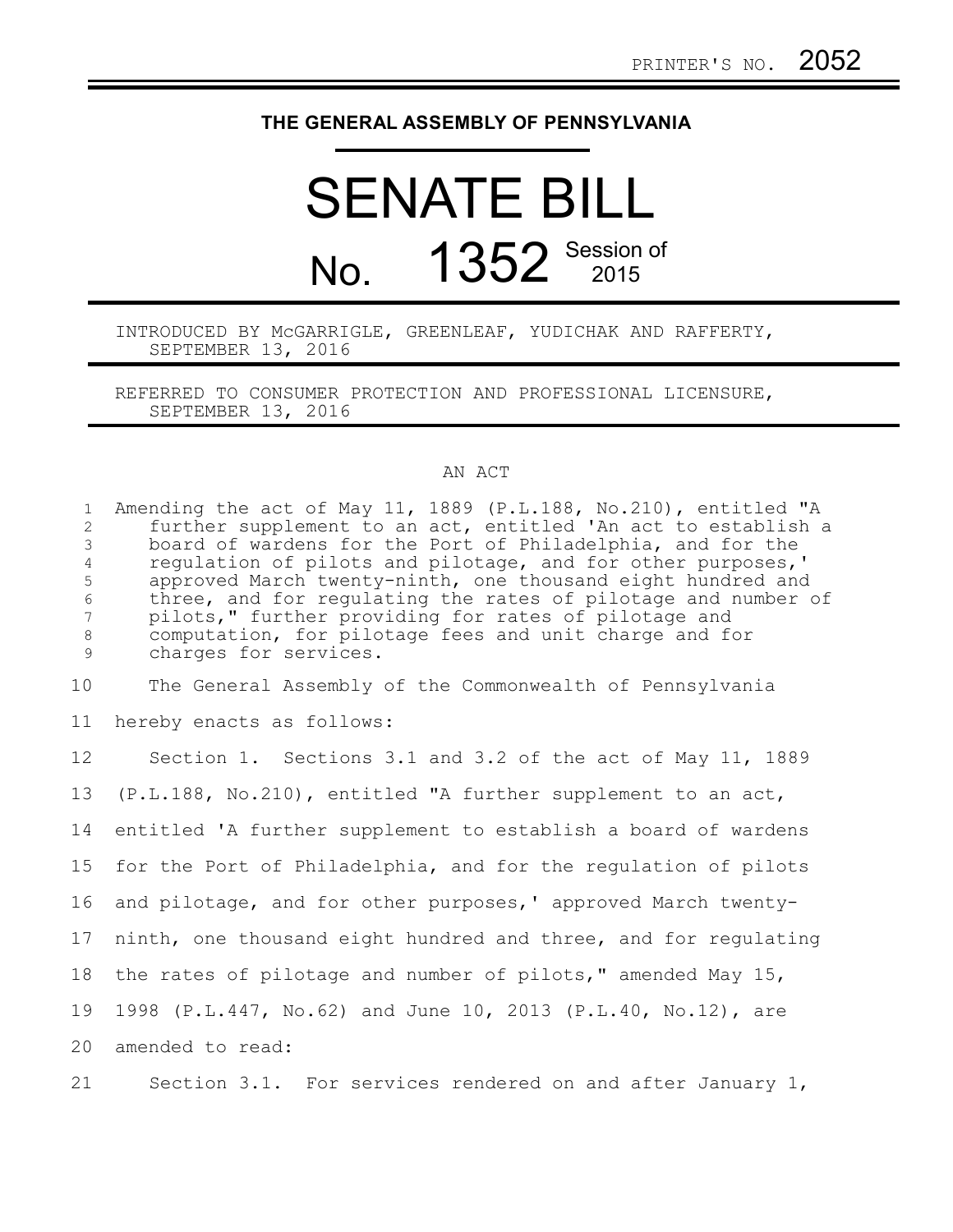## **THE GENERAL ASSEMBLY OF PENNSYLVANIA**

## SENATE BILL No. 1352 Session of

## INTRODUCED BY McGARRIGLE, GREENLEAF, YUDICHAK AND RAFFERTY, SEPTEMBER 13, 2016

REFERRED TO CONSUMER PROTECTION AND PROFESSIONAL LICENSURE, SEPTEMBER 13, 2016

## AN ACT

| $\mathbf{1}$<br>2<br>$\mathfrak{Z}$<br>$\overline{4}$<br>5<br>$\epsilon$<br>7<br>$\,8\,$<br>$\mathcal{G}$ | Amending the act of May 11, 1889 (P.L.188, No.210), entitled "A<br>further supplement to an act, entitled 'An act to establish a<br>board of wardens for the Port of Philadelphia, and for the<br>requlation of pilots and pilotage, and for other purposes,'<br>approved March twenty-ninth, one thousand eight hundred and<br>three, and for requlating the rates of pilotage and number of<br>pilots," further providing for rates of pilotage and<br>computation, for pilotage fees and unit charge and for<br>charges for services. |
|-----------------------------------------------------------------------------------------------------------|------------------------------------------------------------------------------------------------------------------------------------------------------------------------------------------------------------------------------------------------------------------------------------------------------------------------------------------------------------------------------------------------------------------------------------------------------------------------------------------------------------------------------------------|
| 10                                                                                                        | The General Assembly of the Commonwealth of Pennsylvania                                                                                                                                                                                                                                                                                                                                                                                                                                                                                 |
| 11                                                                                                        | hereby enacts as follows:                                                                                                                                                                                                                                                                                                                                                                                                                                                                                                                |
| 12                                                                                                        | Section 1. Sections 3.1 and 3.2 of the act of May 11, 1889                                                                                                                                                                                                                                                                                                                                                                                                                                                                               |
| 13                                                                                                        | (P.L.188, No.210), entitled "A further supplement to an act,                                                                                                                                                                                                                                                                                                                                                                                                                                                                             |
| 14                                                                                                        | entitled 'A further supplement to establish a board of wardens                                                                                                                                                                                                                                                                                                                                                                                                                                                                           |
| 15                                                                                                        | for the Port of Philadelphia, and for the regulation of pilots                                                                                                                                                                                                                                                                                                                                                                                                                                                                           |
| 16                                                                                                        | and pilotage, and for other purposes,' approved March twenty-                                                                                                                                                                                                                                                                                                                                                                                                                                                                            |
| 17                                                                                                        | ninth, one thousand eight hundred and three, and for regulating                                                                                                                                                                                                                                                                                                                                                                                                                                                                          |
| 18                                                                                                        | the rates of pilotage and number of pilots," amended May 15,                                                                                                                                                                                                                                                                                                                                                                                                                                                                             |
| 19                                                                                                        | 1998 (P.L.447, No.62) and June 10, 2013 (P.L.40, No.12), are                                                                                                                                                                                                                                                                                                                                                                                                                                                                             |
| 20                                                                                                        | amended to read:                                                                                                                                                                                                                                                                                                                                                                                                                                                                                                                         |
| 21                                                                                                        | Section 3.1. For services rendered on and after January 1,                                                                                                                                                                                                                                                                                                                                                                                                                                                                               |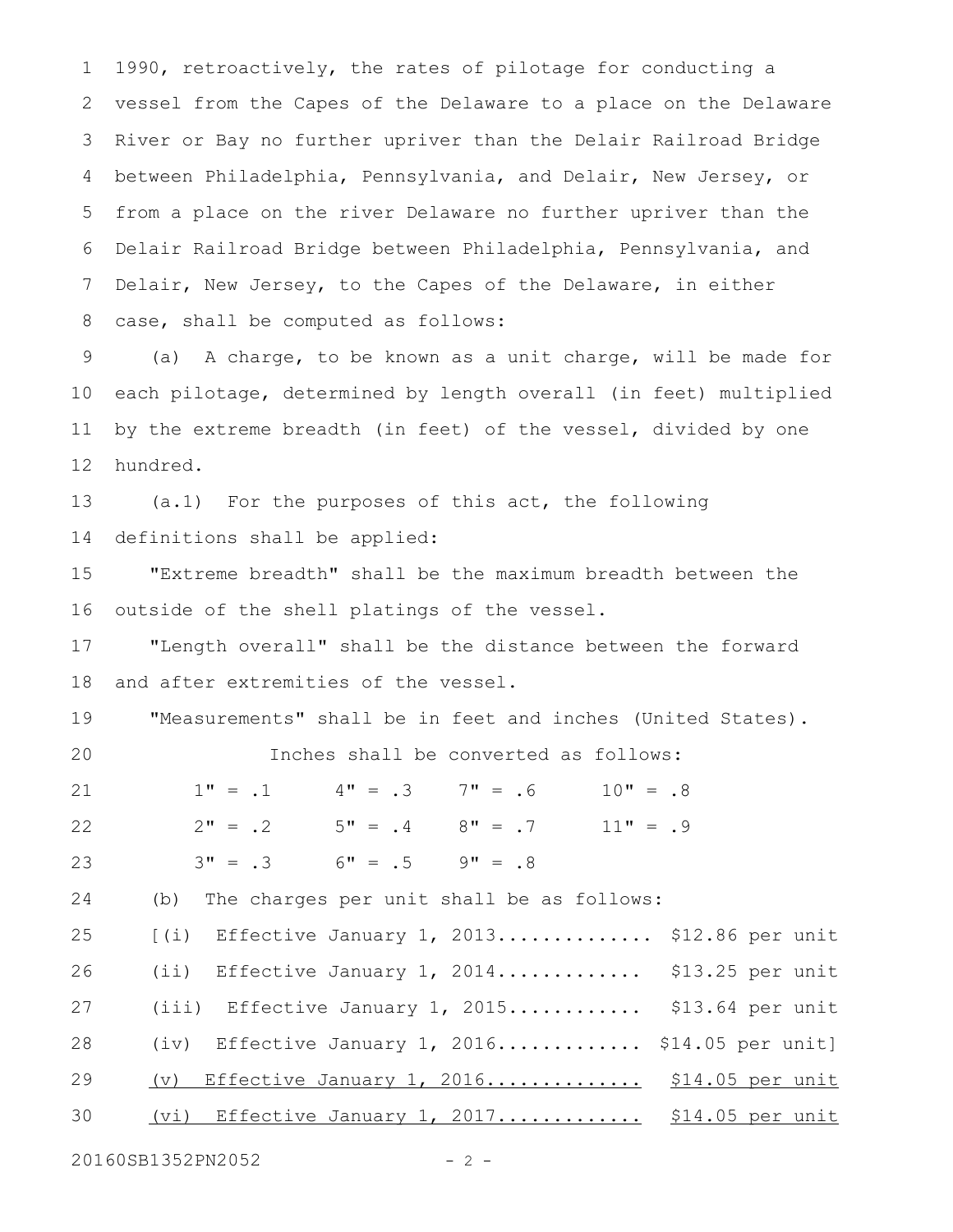1990, retroactively, the rates of pilotage for conducting a vessel from the Capes of the Delaware to a place on the Delaware River or Bay no further upriver than the Delair Railroad Bridge between Philadelphia, Pennsylvania, and Delair, New Jersey, or from a place on the river Delaware no further upriver than the Delair Railroad Bridge between Philadelphia, Pennsylvania, and Delair, New Jersey, to the Capes of the Delaware, in either case, shall be computed as follows: 1 2 3 4 5 6 7 8

(a) A charge, to be known as a unit charge, will be made for each pilotage, determined by length overall (in feet) multiplied by the extreme breadth (in feet) of the vessel, divided by one hundred. 9 10 11 12

(a.1) For the purposes of this act, the following definitions shall be applied: 13 14

"Extreme breadth" shall be the maximum breadth between the outside of the shell platings of the vessel. 15 16

"Length overall" shall be the distance between the forward and after extremities of the vessel. 17 18

"Measurements" shall be in feet and inches (United States). 19

Inches shall be converted as follows:

 $1" = .1$   $4" = .3$   $7" = .6$   $10" = .8$  $2" = .2$   $5" = .4$   $8" = .7$   $11" = .9$  $3" = .3$  6" = .5 9" = .8 21 22 23

(b) The charges per unit shall be as follows: 24

| 25 | $(i)$ Effective January 1, 2013 \$12.86 per unit |  |
|----|--------------------------------------------------|--|
| 26 | (ii) Effective January 1, 2014 \$13.25 per unit  |  |
| 27 | (iii) Effective January 1, 2015 \$13.64 per unit |  |
| 28 | (iv) Effective January 1, 2016 \$14.05 per unit] |  |
| 29 | (v) Effective January 1, 2016 \$14.05 per unit   |  |
| 30 | (vi) Effective January 1, 2017 \$14.05 per unit  |  |

20160SB1352PN2052 - 2 -

20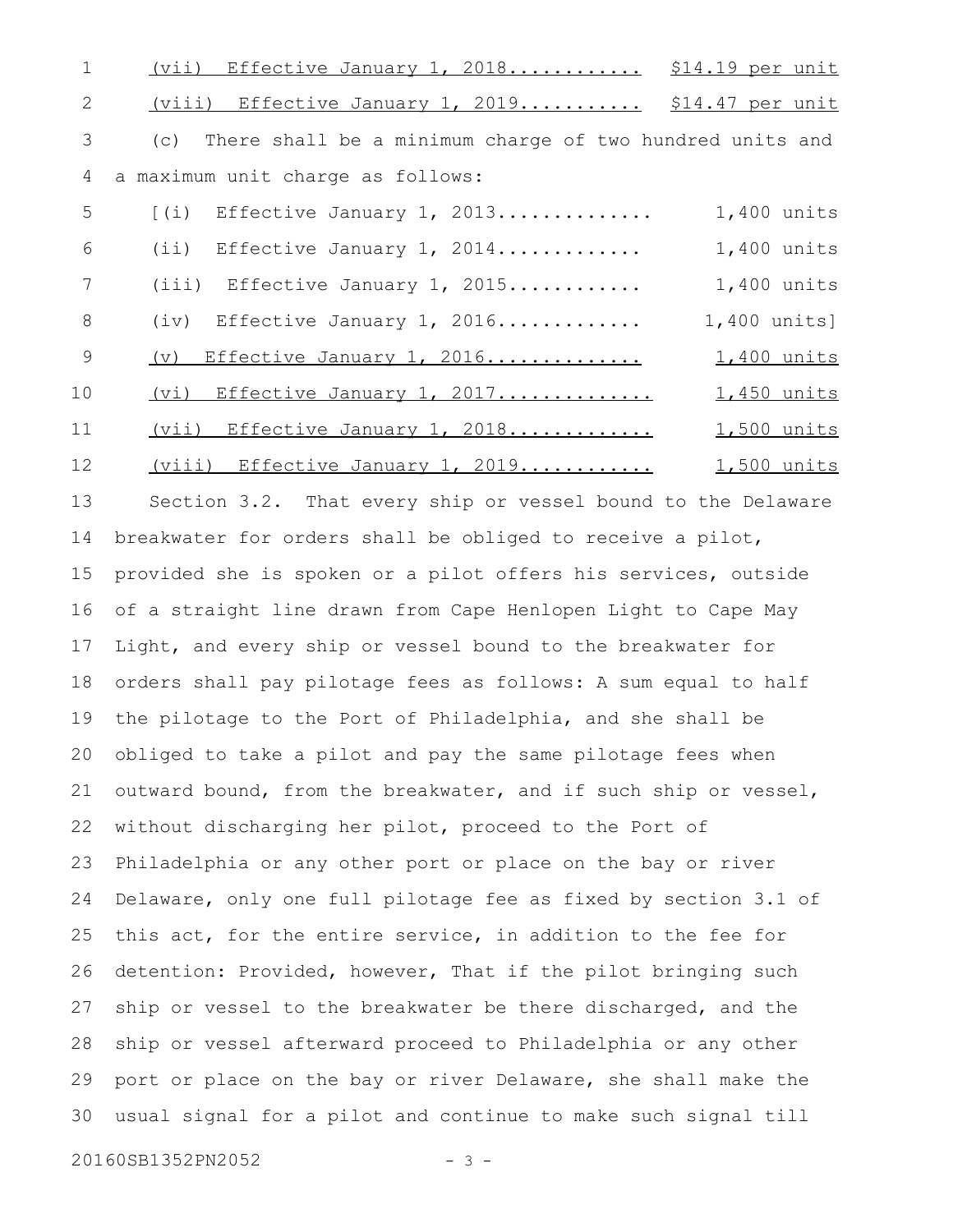| 1  | <u>(vii) Effective January 1, 2018 \$14.19 per unit</u>         |                    |
|----|-----------------------------------------------------------------|--------------------|
| 2  | (viii) Effective January 1, 2019 \$14.47 per unit               |                    |
| 3  | There shall be a minimum charge of two hundred units and<br>(c) |                    |
| 4  | a maximum unit charge as follows:                               |                    |
| 5  | Effective January 1, 2013<br>$\lceil$ (i)                       | 1,400 units        |
| 6  | $(i)$ Effective January 1, 2014                                 | 1,400 units        |
| 7  | $(iii)$ Effective January 1, 2015                               | 1,400 units        |
| 8  | (iv) Effective January 1, 2016                                  | 1,400 units]       |
| 9  | $(\triangledown)$<br>Effective January 1, 2016                  | 1,400 units        |
| 10 | (vi) Effective January 1, 2017                                  | 1,450 units        |
| 11 | (vii) Effective January 1, 2018                                 | 1,500 units        |
| 12 | (viii) Effective January 1, 2019                                | <u>1,500 units</u> |
| 13 | Section 3.2. That every ship or vessel bound to the Delaware    |                    |
| 14 | breakwater for orders shall be obliged to receive a pilot,      |                    |
| 15 | provided she is spoken or a pilot offers his services, outside  |                    |
| 16 | of a straight line drawn from Cape Henlopen Light to Cape May   |                    |
| 17 | Light, and every ship or vessel bound to the breakwater for     |                    |
| 18 | orders shall pay pilotage fees as follows: A sum equal to half  |                    |
| 19 | the pilotage to the Port of Philadelphia, and she shall be      |                    |
|    | 20 obliged to take a pilot and pay the same pilotage fees when  |                    |
| 21 | outward bound, from the breakwater, and if such ship or vessel, |                    |
| 22 | without discharging her pilot, proceed to the Port of           |                    |
| 23 | Philadelphia or any other port or place on the bay or river     |                    |
| 24 | Delaware, only one full pilotage fee as fixed by section 3.1 of |                    |
| 25 | this act, for the entire service, in addition to the fee for    |                    |
| 26 | detention: Provided, however, That if the pilot bringing such   |                    |
| 27 | ship or vessel to the breakwater be there discharged, and the   |                    |
| 28 | ship or vessel afterward proceed to Philadelphia or any other   |                    |
| 29 | port or place on the bay or river Delaware, she shall make the  |                    |
| 30 | usual signal for a pilot and continue to make such signal till  |                    |
|    | 20160SB1352PN2052<br>$3 -$                                      |                    |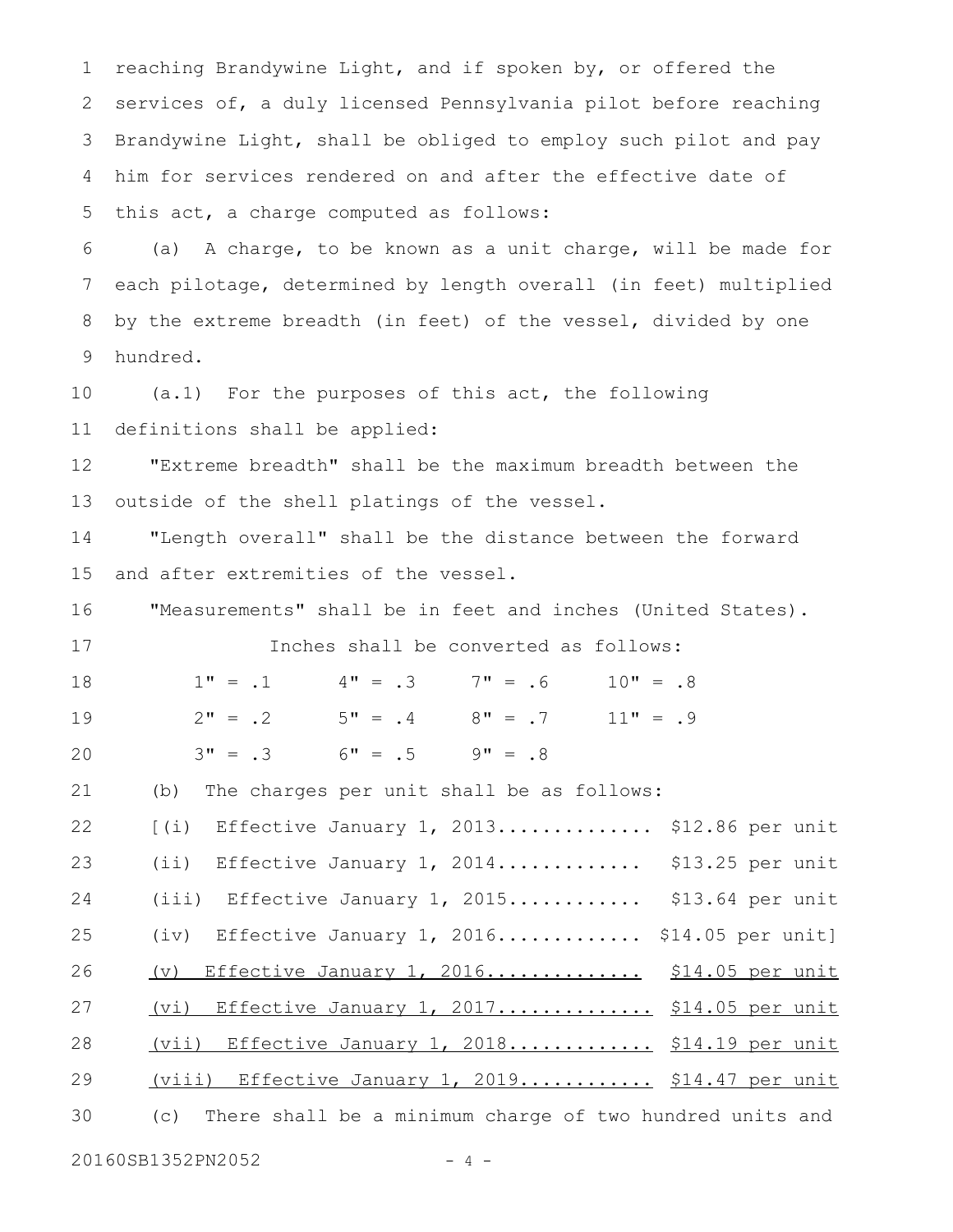reaching Brandywine Light, and if spoken by, or offered the services of, a duly licensed Pennsylvania pilot before reaching Brandywine Light, shall be obliged to employ such pilot and pay him for services rendered on and after the effective date of this act, a charge computed as follows: 1 2 3 4 5

(a) A charge, to be known as a unit charge, will be made for each pilotage, determined by length overall (in feet) multiplied by the extreme breadth (in feet) of the vessel, divided by one hundred. 6 7 8 9

(a.1) For the purposes of this act, the following definitions shall be applied: 10 11

"Extreme breadth" shall be the maximum breadth between the outside of the shell platings of the vessel. 12 13

"Length overall" shall be the distance between the forward and after extremities of the vessel. 14 15

"Measurements" shall be in feet and inches (United States). 16

Inches shall be converted as follows:

 $1" = .1$   $4" = .3$   $7" = .6$   $10" = .8$  $2" = .2$  5" = .4 8" = .7 11" = .9  $3" = .3$  6" = .5 9" = .8 18 19 20

(b) The charges per unit shall be as follows: 21

 $[$ (i) Effective January 1, 2013................ \$12.86 per unit (ii) Effective January 1, 2014................. \$13.25 per unit (iii) Effective January 1, 2015............ \$13.64 per unit (iv) Effective January 1, 2016................ \$14.05 per unit] (v) Effective January 1, 2016........................ \$14.05 per unit (vi) Effective January 1, 2017.................. \$14.05 per unit (vii) Effective January 1, 2018................ \$14.19 per unit (viii) Effective January 1, 2019.............. \$14.47 per unit (c) There shall be a minimum charge of two hundred units and 22 23 24 25 26 27 28 29 30

20160SB1352PN2052 - 4 -

17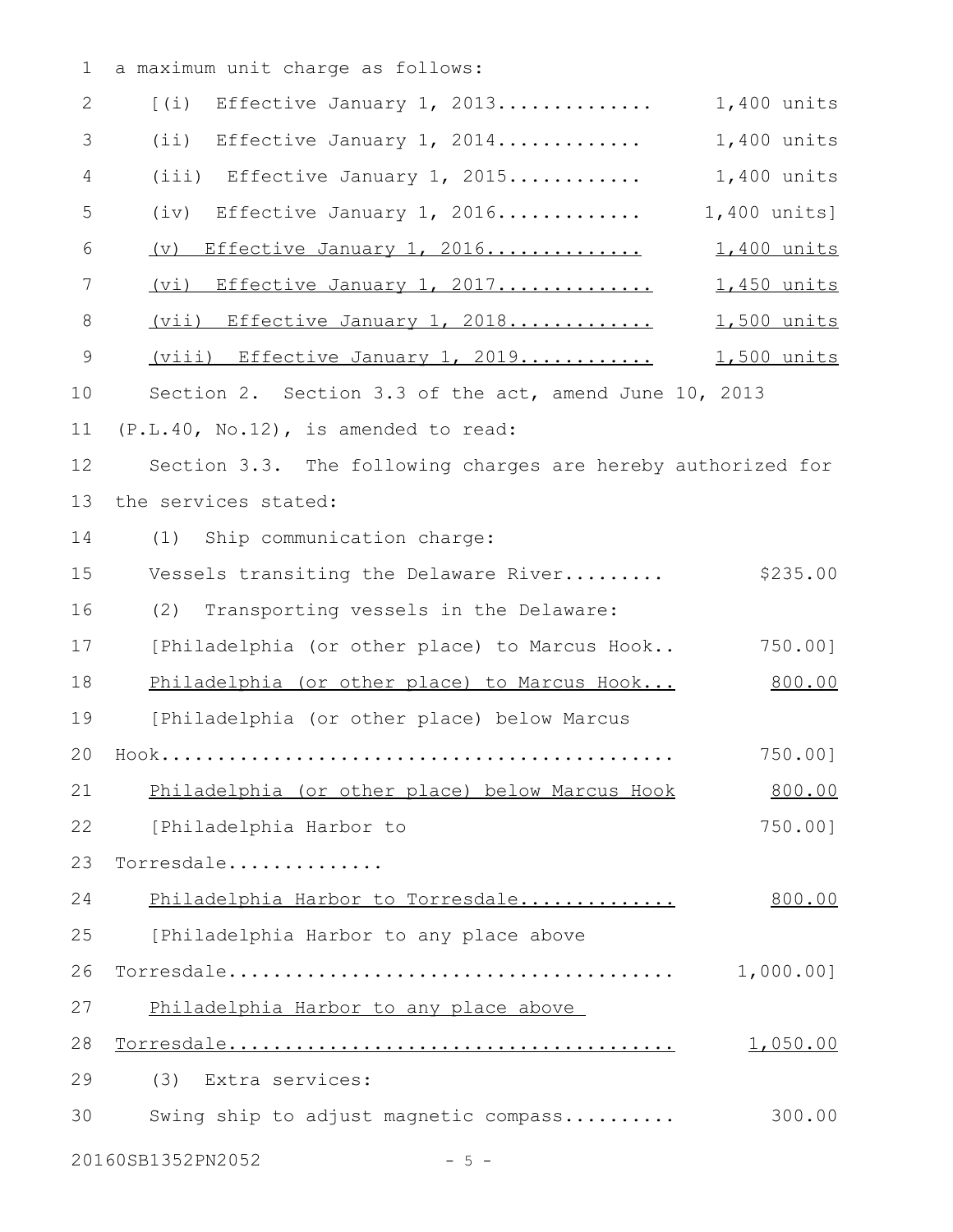1 a maximum unit charge as follows:

| $\overline{2}$ | Effective January 1, 2013<br>$(\pm)$                         | 1,400 units        |
|----------------|--------------------------------------------------------------|--------------------|
| 3              | (i)<br>Effective January 1, 2014                             | 1,400 units        |
| 4              | $(iii)$ Effective January 1, 2015                            | 1,400 units        |
| 5              | (iv)<br>Effective January 1, 2016                            | 1,400 units]       |
| 6              | Effective January 1, 2016<br>(v)                             | <u>1,400 units</u> |
| 7              | (vi) Effective January 1, 2017                               | 1,450 units        |
| $\,8\,$        | (vii) Effective January 1, 2018                              | 1,500 units        |
| $\mathsf 9$    | (viii) Effective January 1, 2019                             | <u>1,500 units</u> |
| 10             | Section 2. Section 3.3 of the act, amend June 10, 2013       |                    |
| 11             | (P.L.40, No.12), is amended to read:                         |                    |
| 12             | Section 3.3. The following charges are hereby authorized for |                    |
| 13             | the services stated:                                         |                    |
| 14             | (1) Ship communication charge:                               |                    |
| 15             | Vessels transiting the Delaware River                        | \$235.00           |
| 16             | (2)<br>Transporting vessels in the Delaware:                 |                    |
| 17             | [Philadelphia (or other place) to Marcus Hook                | 750.00]            |
| 18             | Philadelphia (or other place) to Marcus Hook                 | 800.00             |
| 19             | [Philadelphia (or other place) below Marcus                  |                    |
| 20             |                                                              | 750.00]            |
| 21             | Philadelphia (or other place) below Marcus Hook              | 800.00             |
| 22             | [Philadelphia Harbor to                                      | 750.00]            |
| 23             | Torresdale                                                   |                    |
| 24             | Philadelphia Harbor to Torresdale                            | 800.00             |
| 25             | [Philadelphia Harbor to any place above                      |                    |
| 26             |                                                              | 1,000.001          |
| 27             | Philadelphia Harbor to any place above                       |                    |
| 28             |                                                              | 1,050.00           |
| 29             | Extra services:<br>(3)                                       |                    |
| 30             | Swing ship to adjust magnetic compass                        | 300.00             |
|                | 20160SB1352PN2052<br>$-5 -$                                  |                    |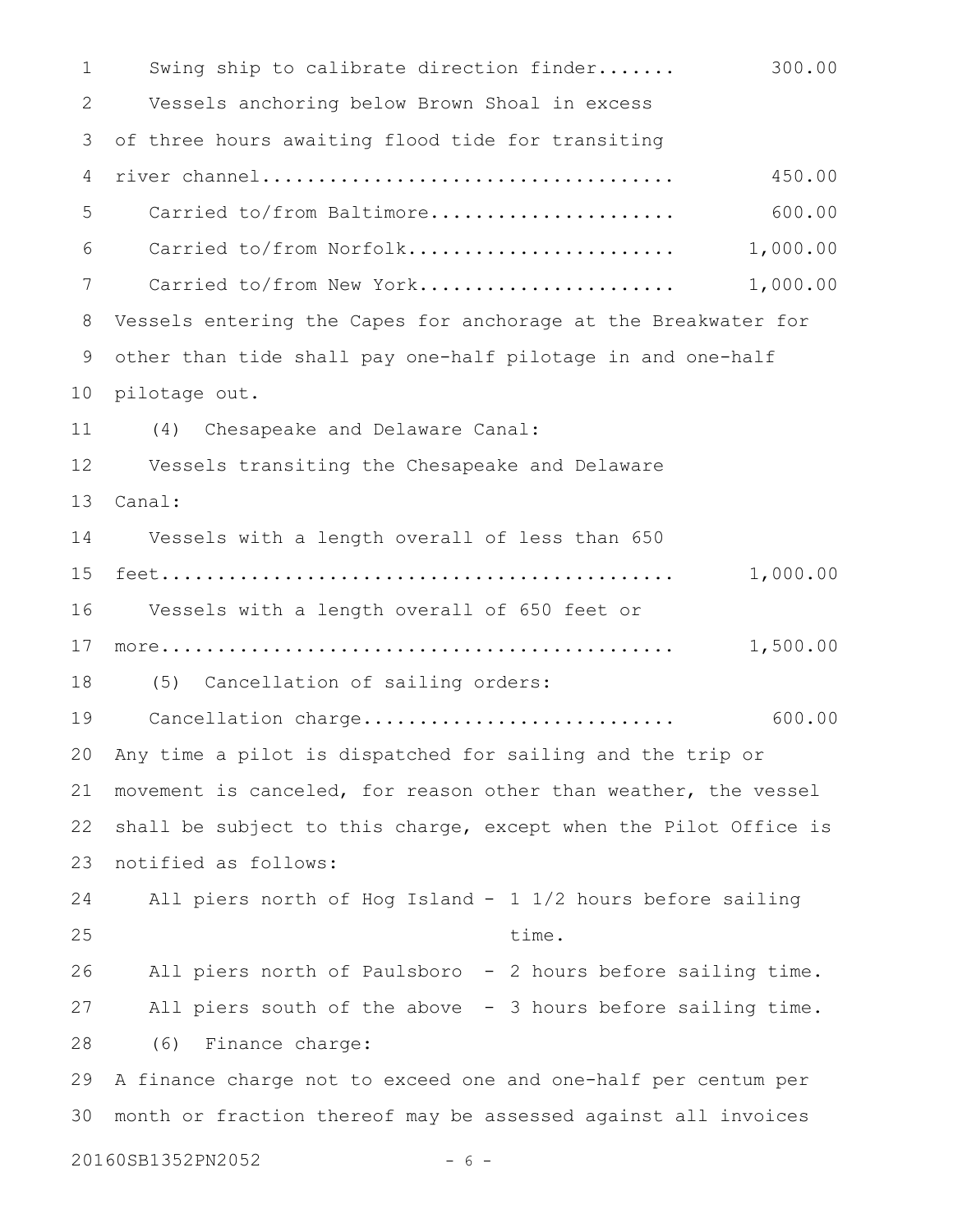Swing ship to calibrate direction finder....... 300.00 Vessels anchoring below Brown Shoal in excess of three hours awaiting flood tide for transiting river channel..................................... 450.00 Carried to/from Baltimore...................... 600.00 Carried to/from Norfolk........................ 1,000.00 Carried to/from New York....................... 1,000.00 Vessels entering the Capes for anchorage at the Breakwater for other than tide shall pay one-half pilotage in and one-half pilotage out. (4) Chesapeake and Delaware Canal: Vessels transiting the Chesapeake and Delaware Canal: Vessels with a length overall of less than 650 feet.............................................. 1,000.00 Vessels with a length overall of 650 feet or more.............................................. 1,500.00 (5) Cancellation of sailing orders: Cancellation charge............................ 600.00 Any time a pilot is dispatched for sailing and the trip or movement is canceled, for reason other than weather, the vessel shall be subject to this charge, except when the Pilot Office is notified as follows: All piers north of Hog Island  $-$  1  $1/2$  hours before sailing time. All piers north of Paulsboro - 2 hours before sailing time. All piers south of the above  $-$  3 hours before sailing time. (6) Finance charge: A finance charge not to exceed one and one-half per centum per month or fraction thereof may be assessed against all invoices 20160SB1352PN2052 - 6 -1 2 3 4 5 6 7 8 9 10 11 12 13 14 15 16 17 18 19 20 21 22 23 24 25 26 27 28 29 30